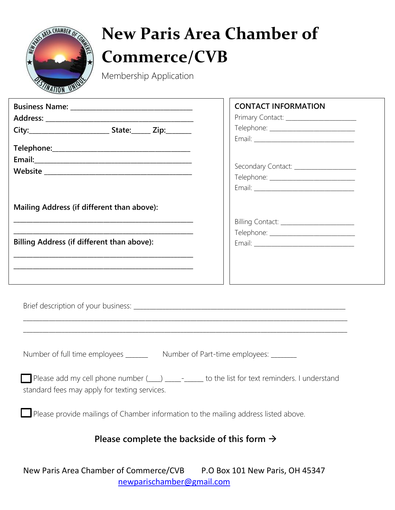

## **New Paris Area Chamber of Commerce/CVB**

Membership Application

|                                                                                                                                                  | <b>CONTACT INFORMATION</b>                 |  |  |
|--------------------------------------------------------------------------------------------------------------------------------------------------|--------------------------------------------|--|--|
|                                                                                                                                                  |                                            |  |  |
|                                                                                                                                                  |                                            |  |  |
|                                                                                                                                                  |                                            |  |  |
|                                                                                                                                                  |                                            |  |  |
|                                                                                                                                                  |                                            |  |  |
|                                                                                                                                                  | Secondary Contact: ___________________     |  |  |
|                                                                                                                                                  |                                            |  |  |
|                                                                                                                                                  |                                            |  |  |
|                                                                                                                                                  |                                            |  |  |
| Mailing Address (if different than above):                                                                                                       |                                            |  |  |
|                                                                                                                                                  | Billing Contact: _________________________ |  |  |
|                                                                                                                                                  |                                            |  |  |
| Billing Address (if different than above):                                                                                                       |                                            |  |  |
|                                                                                                                                                  |                                            |  |  |
|                                                                                                                                                  |                                            |  |  |
|                                                                                                                                                  |                                            |  |  |
|                                                                                                                                                  |                                            |  |  |
| Number of full time employees ________ Number of Part-time employees: _______                                                                    |                                            |  |  |
| Please add my cell phone number (10) 100 mangement to the list for text reminders. I understand<br>standard fees may apply for texting services. |                                            |  |  |
| Please provide mailings of Chamber information to the mailing address listed above.                                                              |                                            |  |  |
| Please complete the backside of this form $\rightarrow$                                                                                          |                                            |  |  |
| New Paris Area Chamber of Commerce/CVB                                                                                                           | P.O Box 101 New Paris, OH 45347            |  |  |

[newparischamber@gmail.com](mailto:newparischamber@gmail.com)